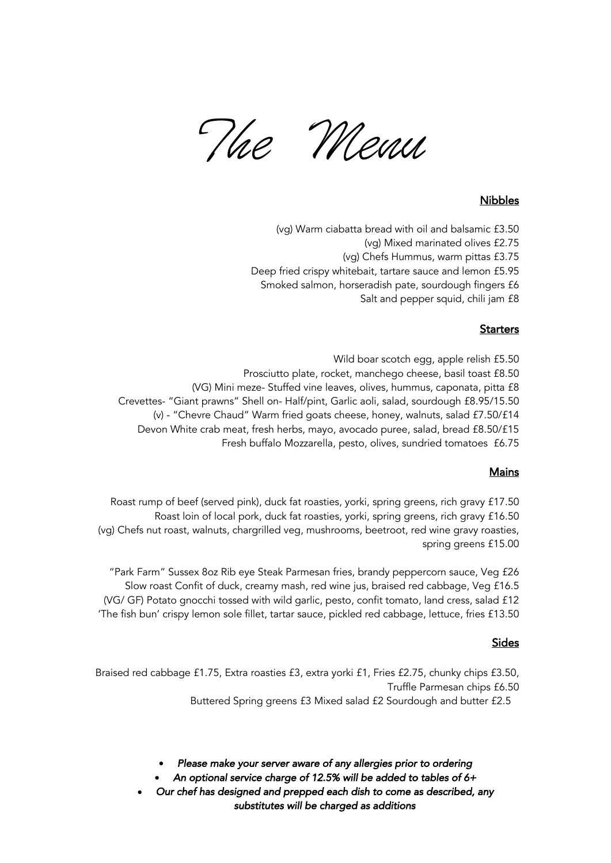The Menu

# Nibbles

- (vg) Warm ciabatta bread with oil and balsamic £3.50
	- (vg) Mixed marinated olives £2.75
	- (vg) Chefs Hummus, warm pittas £3.75
- Deep fried crispy whitebait, tartare sauce and lemon £5.95
- Smoked salmon, horseradish pate, sourdough fingers £6

Salt and pepper squid, chili jam £8

## **Starters**

Wild boar scotch egg, apple relish £5.50 Prosciutto plate, rocket, manchego cheese, basil toast £8.50 (VG) Mini meze- Stuffed vine leaves, olives, hummus, caponata, pitta £8 Crevettes- "Giant prawns" Shell on- Half/pint, Garlic aoli, salad, sourdough £8.95/15.50 (v) - "Chevre Chaud" Warm fried goats cheese, honey, walnuts, salad £7.50/£14 Devon White crab meat, fresh herbs, mayo, avocado puree, salad, bread £8.50/£15 Fresh buffalo Mozzarella, pesto, olives, sundried tomatoes £6.75

### Mains

Roast rump of beef (served pink), duck fat roasties, yorki, spring greens, rich gravy £17.50 Roast loin of local pork, duck fat roasties, yorki, spring greens, rich gravy £16.50 (vg) Chefs nut roast, walnuts, chargrilled veg, mushrooms, beetroot, red wine gravy roasties, spring greens £15.00

"Park Farm" Sussex 8oz Rib eye Steak Parmesan fries, brandy peppercorn sauce, Veg £26 Slow roast Confit of duck, creamy mash, red wine jus, braised red cabbage, Veg £16.5 (VG/ GF) Potato gnocchi tossed with wild garlic, pesto, confit tomato, land cress, salad £12 'The fish bun' crispy lemon sole fillet, tartar sauce, pickled red cabbage, lettuce, fries £13.50

# **Sides**

Braised red cabbage £1.75, Extra roasties £3, extra yorki £1, Fries £2.75, chunky chips £3.50, Truffle Parmesan chips £6.50 Buttered Spring greens £3 Mixed salad £2 Sourdough and butter £2.5

• *Please make your server aware of any allergies prior to ordering* 

• *An optional service charge of 12.5% will be added to tables of 6+* 

• *Our chef has designed and prepped each dish to come as described, any substitutes will be charged as additions*